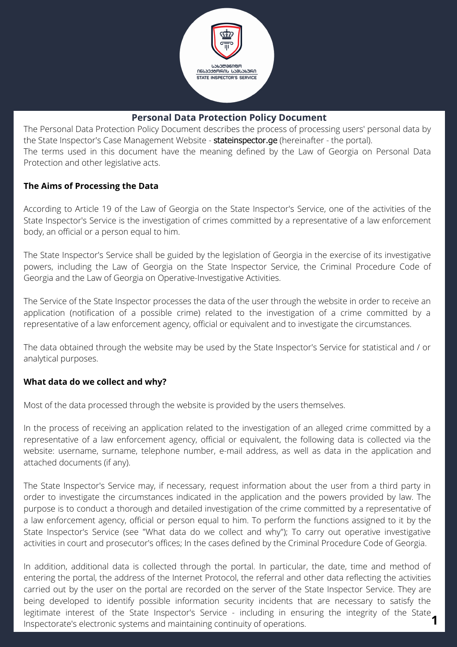

# **Personal Data Protection Policy Document**

The Personal Data Protection Policy Document describes the process of processing users' personal data by the State Inspector's Case Management Website - stateinspector.ge (hereinafter - the portal). The terms used in this document have the meaning defined by the Law of Georgia on Personal Data Protection and other legislative acts.

#### **The Aims of Processing the Data**

According to Article 19 of the Law of Georgia on the State Inspector's Service, one of the activities of the State Inspector's Service is the investigation of crimes committed by a representative of a law enforcement body, an official or a person equal to him.

The State Inspector's Service shall be guided by the legislation of Georgia in the exercise of its investigative powers, including the Law of Georgia on the State Inspector Service, the Criminal Procedure Code of Georgia and the Law of Georgia on Operative-Investigative Activities.

The Service of the State Inspector processes the data of the user through the website in order to receive an application (notification of a possible crime) related to the investigation of a crime committed by a representative of a law enforcement agency, official or equivalent and to investigate the circumstances.

The data obtained through the website may be used by the State Inspector's Service for statistical and / or analytical purposes.

# **What data do we collect and why?**

Most of the data processed through the website is provided by the users themselves.

In the process of receiving an application related to the investigation of an alleged crime committed by a representative of a law enforcement agency, official or equivalent, the following data is collected via the website: username, surname, telephone number, e-mail address, as well as data in the application and attached documents (if any).

The State Inspector's Service may, if necessary, request information about the user from a third party in order to investigate the circumstances indicated in the application and the powers provided by law. The purpose is to conduct a thorough and detailed investigation of the crime committed by a representative of a law enforcement agency, official or person equal to him. To perform the functions assigned to it by the State Inspector's Service (see "What data do we collect and why"); To carry out operative investigative activities in court and prosecutor's offices; In the cases defined by the Criminal Procedure Code of Georgia.

legitimate interest of the State Inspector's Service - including in ensuring the integrity of the State **1**<br>Inspectorate's electronic systems and maintaining continuity of operations. In addition, additional data is collected through the portal. In particular, the date, time and method of entering the portal, the address of the Internet Protocol, the referral and other data reflecting the activities carried out by the user on the portal are recorded on the server of the State Inspector Service. They are being developed to identify possible information security incidents that are necessary to satisfy the Inspectorate's electronic systems and maintaining continuity of operations.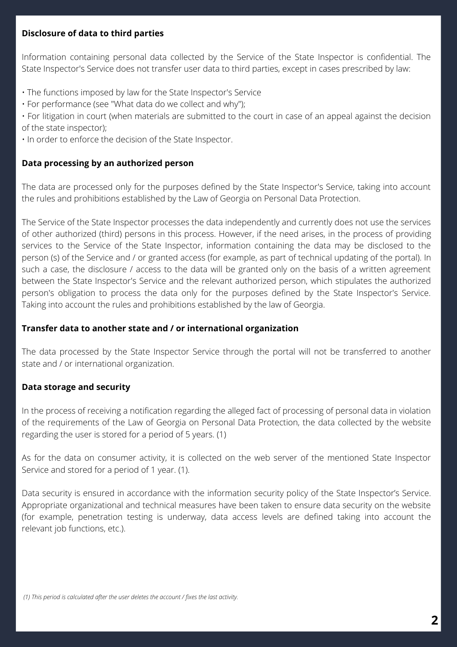# **Disclosure of data to third parties**

Information containing personal data collected by the Service of the State Inspector is confidential. The State Inspector's Service does not transfer user data to third parties, except in cases prescribed by law:

- The functions imposed by law for the State Inspector's Service
- For performance (see "What data do we collect and why");
- For litigation in court (when materials are submitted to the court in case of an appeal against the decision of the state inspector);
- In order to enforce the decision of the State Inspector.

# **Data processing by an authorized person**

The data are processed only for the purposes defined by the State Inspector's Service, taking into account the rules and prohibitions established by the Law of Georgia on Personal Data Protection.

The Service of the State Inspector processes the data independently and currently does not use the services of other authorized (third) persons in this process. However, if the need arises, in the process of providing services to the Service of the State Inspector, information containing the data may be disclosed to the person (s) of the Service and / or granted access (for example, as part of technical updating of the portal). In such a case, the disclosure / access to the data will be granted only on the basis of a written agreement between the State Inspector's Service and the relevant authorized person, which stipulates the authorized person's obligation to process the data only for the purposes defined by the State Inspector's Service. Taking into account the rules and prohibitions established by the law of Georgia.

#### **Transfer data to another state and / or international organization**

The data processed by the State Inspector Service through the portal will not be transferred to another state and / or international organization.

# **Data storage and security**

In the process of receiving a notification regarding the alleged fact of processing of personal data in violation of the requirements of the Law of Georgia on Personal Data Protection, the data collected by the website regarding the user is stored for a period of 5 years. (1)

As for the data on consumer activity, it is collected on the web server of the mentioned State Inspector Service and stored for a period of 1 year. (1).

Data security is ensured in accordance with the information security policy of the State Inspector's Service. Appropriate organizational and technical measures have been taken to ensure data security on the website (for example, penetration testing is underway, data access levels are defined taking into account the relevant job functions, etc.).